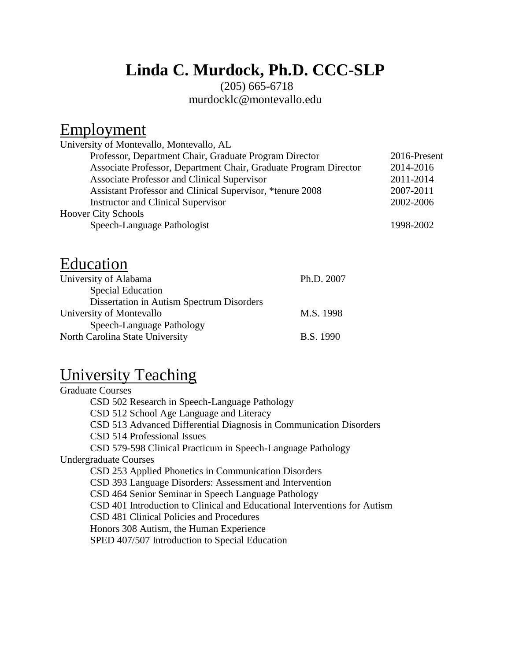# **Linda C. Murdock, Ph.D. CCC-SLP**

#### (205) 665-6718 [murdocklc@montevallo.edu](mailto:murdock@bellsouth.net)

### Employment

| University of Montevallo, Montevallo, AL                         |              |
|------------------------------------------------------------------|--------------|
| Professor, Department Chair, Graduate Program Director           | 2016-Present |
| Associate Professor, Department Chair, Graduate Program Director | 2014-2016    |
| <b>Associate Professor and Clinical Supervisor</b>               | 2011-2014    |
| Assistant Professor and Clinical Supervisor, *tenure 2008        | 2007-2011    |
| <b>Instructor and Clinical Supervisor</b>                        | 2002-2006    |
| <b>Hoover City Schools</b>                                       |              |
| Speech-Language Pathologist                                      | 1998-2002    |
|                                                                  |              |

### Education

| University of Alabama                     | Ph.D. 2007       |
|-------------------------------------------|------------------|
| <b>Special Education</b>                  |                  |
| Dissertation in Autism Spectrum Disorders |                  |
| University of Montevallo                  | M.S. 1998        |
| Speech-Language Pathology                 |                  |
| North Carolina State University           | <b>B.S.</b> 1990 |

## University Teaching

Graduate Courses CSD 502 Research in Speech-Language Pathology CSD 512 School Age Language and Literacy CSD 513 Advanced Differential Diagnosis in Communication Disorders CSD 514 Professional Issues CSD 579-598 Clinical Practicum in Speech-Language Pathology Undergraduate Courses CSD 253 Applied Phonetics in Communication Disorders CSD 393 Language Disorders: Assessment and Intervention CSD 464 Senior Seminar in Speech Language Pathology CSD 401 Introduction to Clinical and Educational Interventions for Autism CSD 481 Clinical Policies and Procedures Honors 308 Autism, the Human Experience SPED 407/507 Introduction to Special Education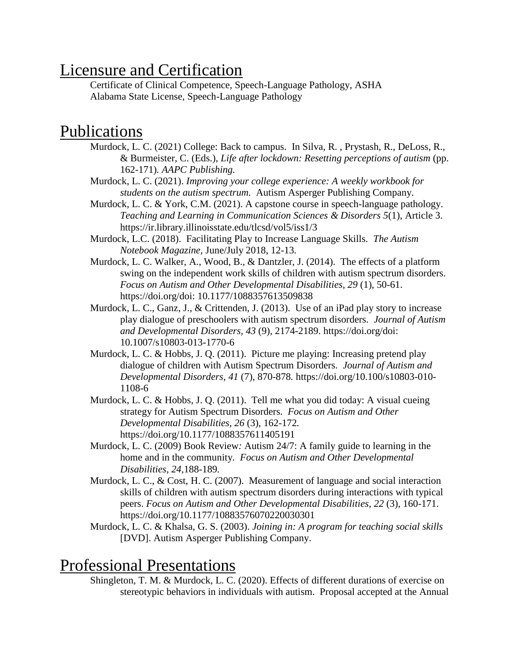## Licensure and Certification

Certificate of Clinical Competence, Speech-Language Pathology, ASHA Alabama State License, Speech-Language Pathology

### Publications

- Murdock, L. C. (2021) College: Back to campus. In Silva, R. , Prystash, R., DeLoss, R., & Burmeister, C. (Eds.), *Life after lockdown: Resetting perceptions of autism* (pp. 162-171)*. AAPC Publishing.*
- Murdock, L. C. (2021). *Improving your college experience: A weekly workbook for students on the autism spectrum.* Autism Asperger Publishing Company.
- Murdock, L. C. & York, C.M. (2021). A capstone course in speech-language pathology. *Teaching and Learning in Communication Sciences & Disorders 5*(1), Article 3. https://ir.library.illinoisstate.edu/tlcsd/vol5/iss1/3
- Murdock, L.C. (2018). Facilitating Play to Increase Language Skills. *The Autism Notebook Magazine,* June/July 2018, 12-13*.*
- Murdock, L. C. Walker, A., Wood, B., & Dantzler, J. (2014). The effects of a platform swing on the independent work skills of children with autism spectrum disorders. *Focus on Autism and Other Developmental Disabilities, 29* (1), 50-61. https://doi.org/doi: 10.1177/1088357613509838
- Murdock, L. C., Ganz, J., & Crittenden, J. (2013). Use of an iPad play story to increase play dialogue of preschoolers with autism spectrum disorders. *Journal of Autism and Developmental Disorders, 43* (9)*,* 2174-2189. https://doi.org/doi: 10.1007/s10803-013-1770-6
- Murdock, L. C. & Hobbs, J. Q. (2011). Picture me playing: Increasing pretend play dialogue of children with Autism Spectrum Disorders. *Journal of Autism and Developmental Disorders, 41* (7), 870-878*.* https://doi.org/10.100/s10803-010- 1108-6
- Murdock, L. C. & Hobbs, J. Q. (2011). Tell me what you did today: A visual cueing strategy for Autism Spectrum Disorders. *Focus on Autism and Other Developmental Disabilities, 26* (3), 162-172*.* https://doi.org/10.1177/1088357611405191
- Murdock, L. C. (2009) Book Review*:* Autism 24/7: A family guide to learning in the home and in the community*. Focus on Autism and Other Developmental Disabilities, 24,*188-189*.*
- Murdock, L. C., & Cost, H. C. (2007). Measurement of language and social interaction skills of children with autism spectrum disorders during interactions with typical peers. *Focus on Autism and Other Developmental Disabilities, 22* (3), 160-171. https://doi.org/10.1177/10883576070220030301
- Murdock, L. C. & Khalsa, G. S. (2003). *Joining in: A program for teaching social skills* [DVD]. Autism Asperger Publishing Company.

#### Professional Presentations

Shingleton, T. M. & Murdock, L. C. (2020). Effects of different durations of exercise on stereotypic behaviors in individuals with autism. Proposal accepted at the Annual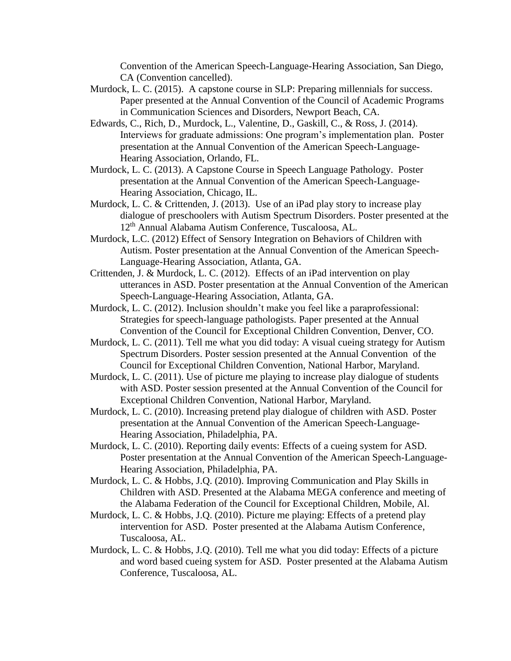Convention of the American Speech-Language-Hearing Association, San Diego, CA (Convention cancelled).

- Murdock, L. C. (2015). A capstone course in SLP: Preparing millennials for success. Paper presented at the Annual Convention of the Council of Academic Programs in Communication Sciences and Disorders, Newport Beach, CA.
- Edwards, C., Rich, D., Murdock, L., Valentine, D., Gaskill, C., & Ross, J. (2014). Interviews for graduate admissions: One program's implementation plan. Poster presentation at the Annual Convention of the American Speech-Language-Hearing Association, Orlando, FL.
- Murdock, L. C. (2013). A Capstone Course in Speech Language Pathology. Poster presentation at the Annual Convention of the American Speech-Language-Hearing Association, Chicago, IL.
- Murdock, L. C. & Crittenden, J. (2013). Use of an iPad play story to increase play dialogue of preschoolers with Autism Spectrum Disorders. Poster presented at the 12th Annual Alabama Autism Conference, Tuscaloosa, AL.
- Murdock, L.C. (2012) Effect of Sensory Integration on Behaviors of Children with Autism. Poster presentation at the Annual Convention of the American Speech-Language-Hearing Association, Atlanta, GA.
- Crittenden, J. & Murdock, L. C. (2012). Effects of an iPad intervention on play utterances in ASD. Poster presentation at the Annual Convention of the American Speech-Language-Hearing Association, Atlanta, GA.
- Murdock, L. C. (2012). Inclusion shouldn't make you feel like a paraprofessional: Strategies for speech-language pathologists. Paper presented at the Annual Convention of the Council for Exceptional Children Convention, Denver, CO.
- Murdock, L. C. (2011). Tell me what you did today: A visual cueing strategy for Autism Spectrum Disorders. Poster session presented at the Annual Convention of the Council for Exceptional Children Convention, National Harbor, Maryland.
- Murdock, L. C. (2011). Use of picture me playing to increase play dialogue of students with ASD. Poster session presented at the Annual Convention of the Council for Exceptional Children Convention, National Harbor, Maryland.
- Murdock, L. C. (2010). Increasing pretend play dialogue of children with ASD. Poster presentation at the Annual Convention of the American Speech-Language-Hearing Association, Philadelphia, PA.
- Murdock, L. C. (2010). Reporting daily events: Effects of a cueing system for ASD. Poster presentation at the Annual Convention of the American Speech-Language-Hearing Association, Philadelphia, PA.
- Murdock, L. C. & Hobbs, J.Q. (2010). Improving Communication and Play Skills in Children with ASD. Presented at the Alabama MEGA conference and meeting of the Alabama Federation of the Council for Exceptional Children, Mobile, Al.
- Murdock, L. C. & Hobbs, J.Q. (2010). Picture me playing: Effects of a pretend play intervention for ASD. Poster presented at the Alabama Autism Conference, Tuscaloosa, AL.
- Murdock, L. C. & Hobbs, J.Q. (2010). Tell me what you did today: Effects of a picture and word based cueing system for ASD. Poster presented at the Alabama Autism Conference, Tuscaloosa, AL.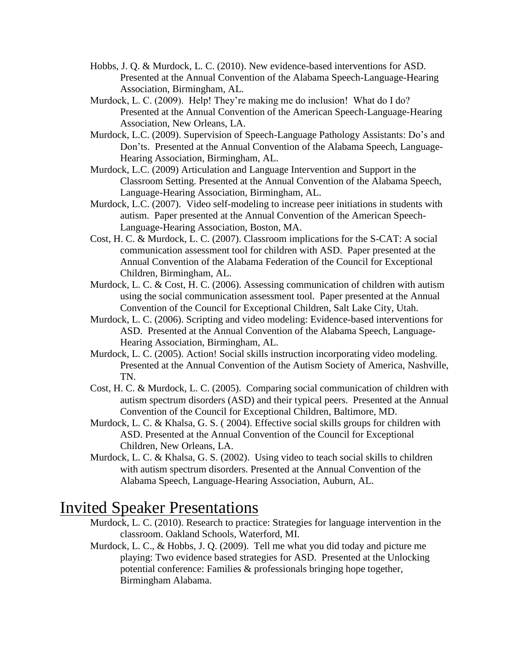- Hobbs, J. Q. & Murdock, L. C. (2010). New evidence-based interventions for ASD. Presented at the Annual Convention of the Alabama Speech-Language-Hearing Association, Birmingham, AL.
- Murdock, L. C. (2009). Help! They're making me do inclusion! What do I do? Presented at the Annual Convention of the American Speech-Language-Hearing Association, New Orleans, LA.
- Murdock, L.C. (2009). Supervision of Speech-Language Pathology Assistants: Do's and Don'ts. Presented at the Annual Convention of the Alabama Speech, Language-Hearing Association, Birmingham, AL.
- Murdock, L.C. (2009) Articulation and Language Intervention and Support in the Classroom Setting. Presented at the Annual Convention of the Alabama Speech, Language-Hearing Association, Birmingham, AL.
- Murdock, L.C. (2007). Video self-modeling to increase peer initiations in students with autism. Paper presented at the Annual Convention of the American Speech-Language-Hearing Association, Boston, MA.
- Cost, H. C. & Murdock, L. C. (2007). Classroom implications for the S-CAT: A social communication assessment tool for children with ASD. Paper presented at the Annual Convention of the Alabama Federation of the Council for Exceptional Children, Birmingham, AL.
- Murdock, L. C. & Cost, H. C. (2006). Assessing communication of children with autism using the social communication assessment tool. Paper presented at the Annual Convention of the Council for Exceptional Children, Salt Lake City, Utah.
- Murdock, L. C. (2006). Scripting and video modeling: Evidence-based interventions for ASD. Presented at the Annual Convention of the Alabama Speech, Language-Hearing Association, Birmingham, AL.
- Murdock, L. C. (2005). Action! Social skills instruction incorporating video modeling. Presented at the Annual Convention of the Autism Society of America, Nashville, TN.
- Cost, H. C. & Murdock, L. C. (2005). Comparing social communication of children with autism spectrum disorders (ASD) and their typical peers. Presented at the Annual Convention of the Council for Exceptional Children, Baltimore, MD.
- Murdock, L. C. & Khalsa, G. S. ( 2004). Effective social skills groups for children with ASD. Presented at the Annual Convention of the Council for Exceptional Children, New Orleans, LA.
- Murdock, L. C. & Khalsa, G. S. (2002). Using video to teach social skills to children with autism spectrum disorders. Presented at the Annual Convention of the Alabama Speech, Language-Hearing Association, Auburn, AL.

#### Invited Speaker Presentations

- Murdock, L. C. (2010). Research to practice: Strategies for language intervention in the classroom. Oakland Schools, Waterford, MI.
- Murdock, L. C., & Hobbs, J. Q. (2009). Tell me what you did today and picture me playing: Two evidence based strategies for ASD. Presented at the Unlocking potential conference: Families & professionals bringing hope together, Birmingham Alabama.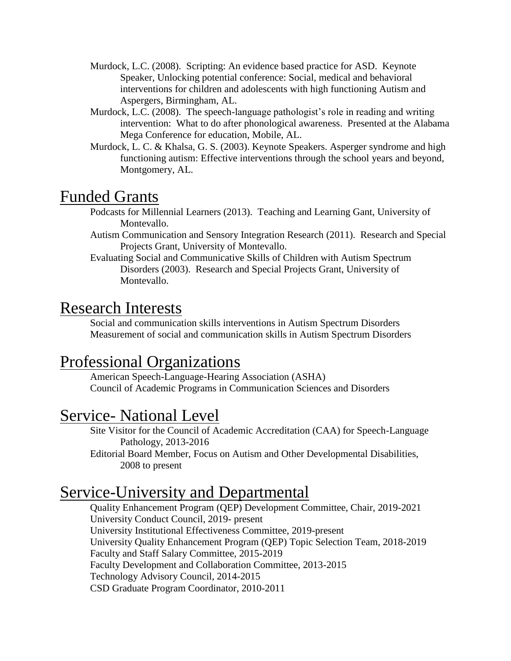- Murdock, L.C. (2008). Scripting: An evidence based practice for ASD. Keynote Speaker, Unlocking potential conference: Social, medical and behavioral interventions for children and adolescents with high functioning Autism and Aspergers, Birmingham, AL.
- Murdock, L.C. (2008). The speech-language pathologist's role in reading and writing intervention: What to do after phonological awareness. Presented at the Alabama Mega Conference for education, Mobile, AL.
- Murdock, L. C. & Khalsa, G. S. (2003). Keynote Speakers. Asperger syndrome and high functioning autism: Effective interventions through the school years and beyond, Montgomery, AL.

### Funded Grants

- Podcasts for Millennial Learners (2013). Teaching and Learning Gant, University of Montevallo.
- Autism Communication and Sensory Integration Research (2011). Research and Special Projects Grant, University of Montevallo.
- Evaluating Social and Communicative Skills of Children with Autism Spectrum Disorders (2003). Research and Special Projects Grant, University of Montevallo.

### Research Interests

Social and communication skills interventions in Autism Spectrum Disorders Measurement of social and communication skills in Autism Spectrum Disorders

## Professional Organizations

American Speech-Language-Hearing Association (ASHA) Council of Academic Programs in Communication Sciences and Disorders

## Service- National Level

Site Visitor for the Council of Academic Accreditation (CAA) for Speech-Language Pathology, 2013-2016

Editorial Board Member, Focus on Autism and Other Developmental Disabilities, 2008 to present

## Service-University and Departmental

Quality Enhancement Program (QEP) Development Committee, Chair, 2019-2021 University Conduct Council, 2019- present University Institutional Effectiveness Committee, 2019-present University Quality Enhancement Program (QEP) Topic Selection Team, 2018-2019 Faculty and Staff Salary Committee, 2015-2019 Faculty Development and Collaboration Committee, 2013-2015 Technology Advisory Council, 2014-2015 CSD Graduate Program Coordinator, 2010-2011